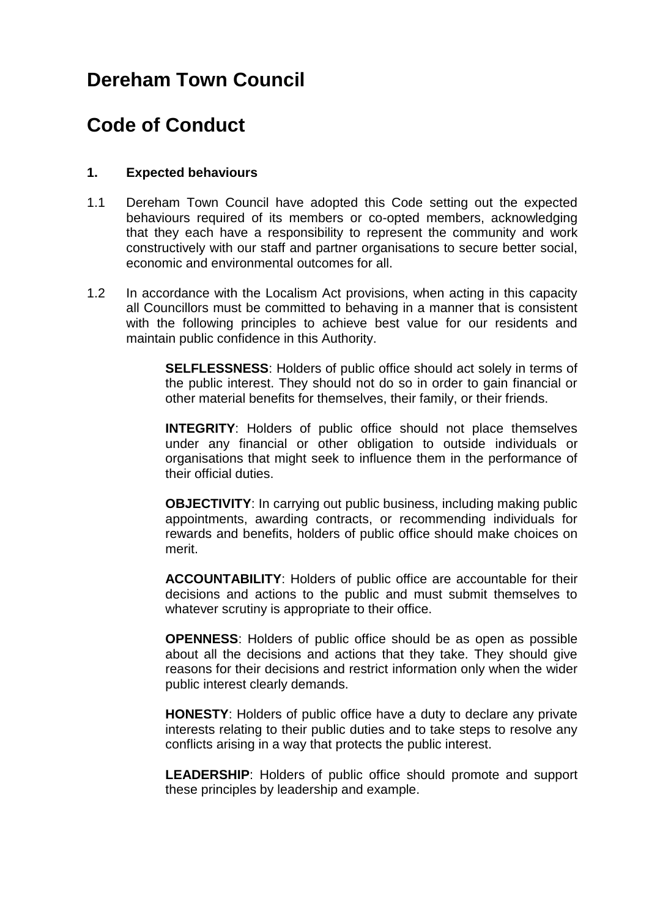# **Dereham Town Council**

# **Code of Conduct**

### **1. Expected behaviours**

- 1.1 Dereham Town Council have adopted this Code setting out the expected behaviours required of its members or co-opted members, acknowledging that they each have a responsibility to represent the community and work constructively with our staff and partner organisations to secure better social, economic and environmental outcomes for all.
- 1.2 In accordance with the Localism Act provisions, when acting in this capacity all Councillors must be committed to behaving in a manner that is consistent with the following principles to achieve best value for our residents and maintain public confidence in this Authority.

**SELFLESSNESS**: Holders of public office should act solely in terms of the public interest. They should not do so in order to gain financial or other material benefits for themselves, their family, or their friends.

**INTEGRITY**: Holders of public office should not place themselves under any financial or other obligation to outside individuals or organisations that might seek to influence them in the performance of their official duties.

**OBJECTIVITY**: In carrying out public business, including making public appointments, awarding contracts, or recommending individuals for rewards and benefits, holders of public office should make choices on merit.

**ACCOUNTABILITY**: Holders of public office are accountable for their decisions and actions to the public and must submit themselves to whatever scrutiny is appropriate to their office.

**OPENNESS**: Holders of public office should be as open as possible about all the decisions and actions that they take. They should give reasons for their decisions and restrict information only when the wider public interest clearly demands.

**HONESTY**: Holders of public office have a duty to declare any private interests relating to their public duties and to take steps to resolve any conflicts arising in a way that protects the public interest.

**LEADERSHIP**: Holders of public office should promote and support these principles by leadership and example.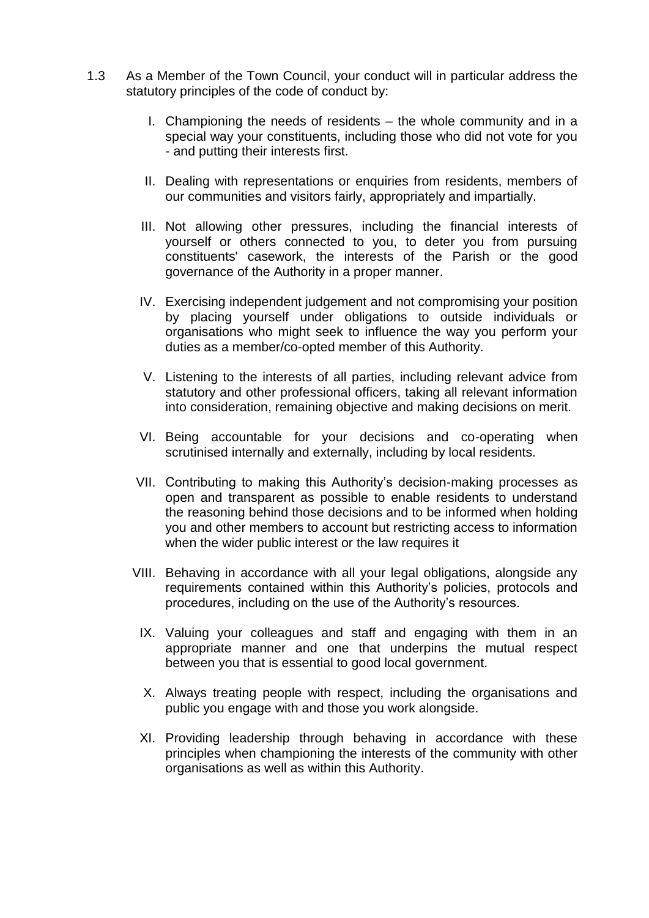- 1.3 As a Member of the Town Council, your conduct will in particular address the statutory principles of the code of conduct by:
	- I. Championing the needs of residents the whole community and in a special way your constituents, including those who did not vote for you - and putting their interests first.
	- II. Dealing with representations or enquiries from residents, members of our communities and visitors fairly, appropriately and impartially.
	- III. Not allowing other pressures, including the financial interests of yourself or others connected to you, to deter you from pursuing constituents' casework, the interests of the Parish or the good governance of the Authority in a proper manner.
	- IV. Exercising independent judgement and not compromising your position by placing yourself under obligations to outside individuals or organisations who might seek to influence the way you perform your duties as a member/co-opted member of this Authority.
	- V. Listening to the interests of all parties, including relevant advice from statutory and other professional officers, taking all relevant information into consideration, remaining objective and making decisions on merit.
	- VI. Being accountable for your decisions and co-operating when scrutinised internally and externally, including by local residents.
	- VII. Contributing to making this Authority's decision-making processes as open and transparent as possible to enable residents to understand the reasoning behind those decisions and to be informed when holding you and other members to account but restricting access to information when the wider public interest or the law requires it
	- VIII. Behaving in accordance with all your legal obligations, alongside any requirements contained within this Authority's policies, protocols and procedures, including on the use of the Authority's resources.
		- IX. Valuing your colleagues and staff and engaging with them in an appropriate manner and one that underpins the mutual respect between you that is essential to good local government.
		- X. Always treating people with respect, including the organisations and public you engage with and those you work alongside.
		- XI. Providing leadership through behaving in accordance with these principles when championing the interests of the community with other organisations as well as within this Authority.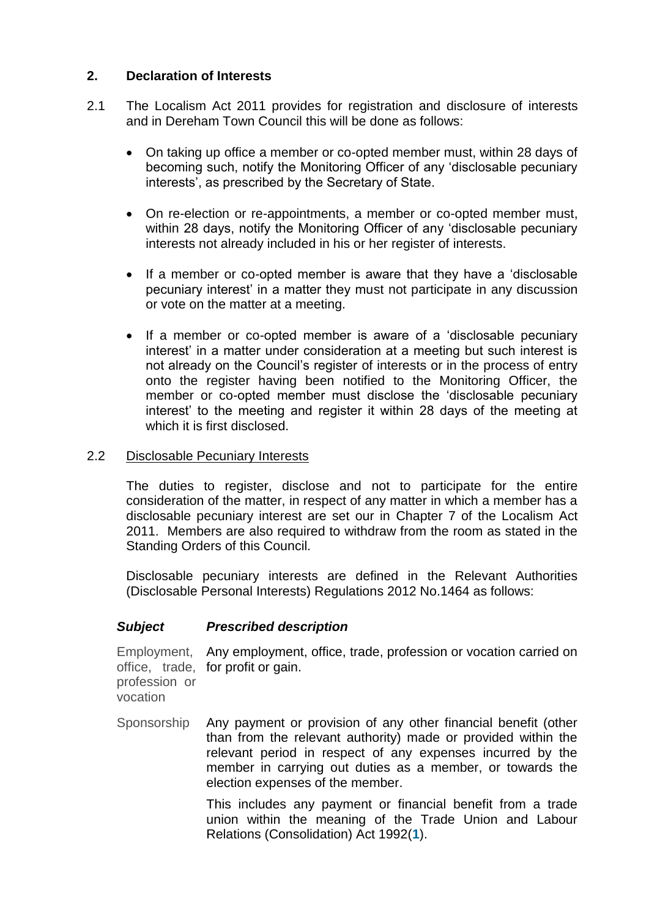## **2. Declaration of Interests**

- 2.1 The Localism Act 2011 provides for registration and disclosure of interests and in Dereham Town Council this will be done as follows:
	- On taking up office a member or co-opted member must, within 28 days of becoming such, notify the Monitoring Officer of any 'disclosable pecuniary interests', as prescribed by the Secretary of State.
	- On re-election or re-appointments, a member or co-opted member must, within 28 days, notify the Monitoring Officer of any 'disclosable pecuniary interests not already included in his or her register of interests.
	- If a member or co-opted member is aware that they have a 'disclosable pecuniary interest' in a matter they must not participate in any discussion or vote on the matter at a meeting.
	- If a member or co-opted member is aware of a 'disclosable pecuniary interest' in a matter under consideration at a meeting but such interest is not already on the Council's register of interests or in the process of entry onto the register having been notified to the Monitoring Officer, the member or co-opted member must disclose the 'disclosable pecuniary interest' to the meeting and register it within 28 days of the meeting at which it is first disclosed.

### 2.2 Disclosable Pecuniary Interests

The duties to register, disclose and not to participate for the entire consideration of the matter, in respect of any matter in which a member has a disclosable pecuniary interest are set our in Chapter 7 of the Localism Act 2011. Members are also required to withdraw from the room as stated in the Standing Orders of this Council.

Disclosable pecuniary interests are defined in the Relevant Authorities (Disclosable Personal Interests) Regulations 2012 No.1464 as follows:

### *Subject Prescribed description*

Employment, Any employment, office, trade, profession or vocation carried on office, trade, for profit or gain. profession or vocation

Sponsorship Any payment or provision of any other financial benefit (other than from the relevant authority) made or provided within the relevant period in respect of any expenses incurred by the member in carrying out duties as a member, or towards the election expenses of the member.

> This includes any payment or financial benefit from a trade union within the meaning of the Trade Union and Labour Relations (Consolidation) Act 1992(**[1](http://www.legislation.gov.uk/uksi/2012/1464/schedule/made#f00003#f00003)**).